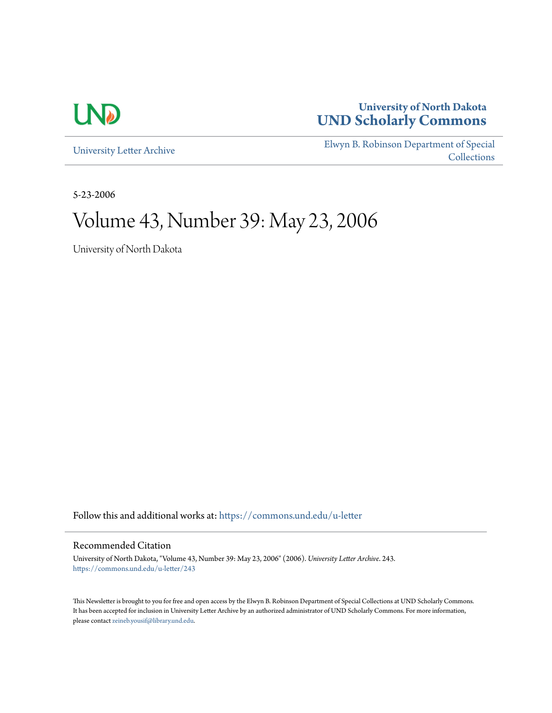

# **University of North Dakota [UND Scholarly Commons](https://commons.und.edu?utm_source=commons.und.edu%2Fu-letter%2F243&utm_medium=PDF&utm_campaign=PDFCoverPages)**

[University Letter Archive](https://commons.und.edu/u-letter?utm_source=commons.und.edu%2Fu-letter%2F243&utm_medium=PDF&utm_campaign=PDFCoverPages)

[Elwyn B. Robinson Department of Special](https://commons.und.edu/archives?utm_source=commons.und.edu%2Fu-letter%2F243&utm_medium=PDF&utm_campaign=PDFCoverPages) **[Collections](https://commons.und.edu/archives?utm_source=commons.und.edu%2Fu-letter%2F243&utm_medium=PDF&utm_campaign=PDFCoverPages)** 

5-23-2006

# Volume 43, Number 39: May 23, 2006

University of North Dakota

Follow this and additional works at: [https://commons.und.edu/u-letter](https://commons.und.edu/u-letter?utm_source=commons.und.edu%2Fu-letter%2F243&utm_medium=PDF&utm_campaign=PDFCoverPages)

#### Recommended Citation

University of North Dakota, "Volume 43, Number 39: May 23, 2006" (2006). *University Letter Archive*. 243. [https://commons.und.edu/u-letter/243](https://commons.und.edu/u-letter/243?utm_source=commons.und.edu%2Fu-letter%2F243&utm_medium=PDF&utm_campaign=PDFCoverPages)

This Newsletter is brought to you for free and open access by the Elwyn B. Robinson Department of Special Collections at UND Scholarly Commons. It has been accepted for inclusion in University Letter Archive by an authorized administrator of UND Scholarly Commons. For more information, please contact [zeineb.yousif@library.und.edu.](mailto:zeineb.yousif@library.und.edu)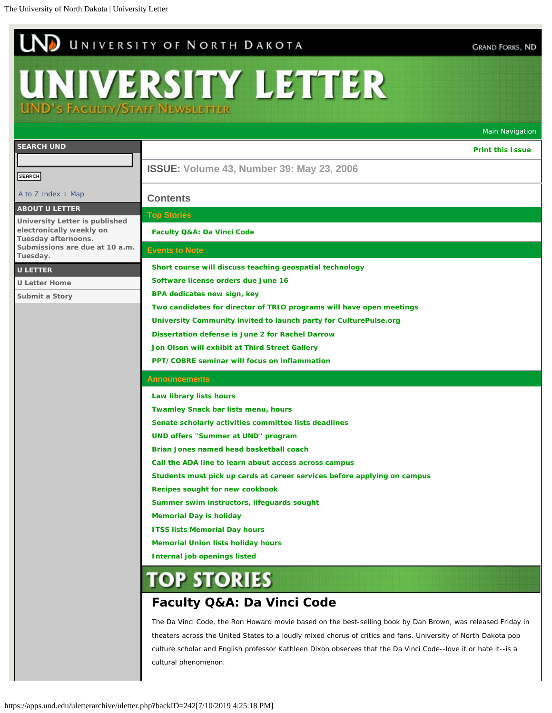# <span id="page-1-0"></span>UND UNIVERSITY OF NORTH DAKOTA

# UNIVERSITY LETTER

**UND's Faculty/Staff Newsletter** 

|                                                            |                                                                                                                | Main Navigation         |
|------------------------------------------------------------|----------------------------------------------------------------------------------------------------------------|-------------------------|
| <b>SEARCH UND</b>                                          |                                                                                                                | <b>Print this Issue</b> |
|                                                            | <b>ISSUE: Volume 43, Number 39: May 23, 2006</b>                                                               |                         |
| <b>SEARCH</b>                                              |                                                                                                                |                         |
| A to Z Index : Map                                         | <b>Contents</b>                                                                                                |                         |
| <b>ABOUT U LETTER</b>                                      | <b>Top Stories</b>                                                                                             |                         |
| University Letter is published<br>electronically weekly on | Faculty Q&A: Da Vinci Code                                                                                     |                         |
| Tuesday afternoons.<br>Submissions are due at 10 a.m.      | <b>Events to Note</b>                                                                                          |                         |
| Tuesday.                                                   |                                                                                                                |                         |
| <b>U LETTER</b>                                            | Short course will discuss teaching geospatial technology                                                       |                         |
| <b>U Letter Home</b>                                       | Software license orders due June 16                                                                            |                         |
| Submit a Story                                             | BPA dedicates new sign, key                                                                                    |                         |
|                                                            | Two candidates for director of TRIO programs will have open meetings                                           |                         |
|                                                            | University Community invited to launch party for CulturePulse.org                                              |                         |
|                                                            | Dissertation defense is June 2 for Rachel Darrow                                                               |                         |
|                                                            | Jon Olson will exhibit at Third Street Gallery<br>PPT/COBRE seminar will focus on inflammation                 |                         |
|                                                            |                                                                                                                |                         |
|                                                            | <b>Announcements</b>                                                                                           |                         |
|                                                            | Law library lists hours                                                                                        |                         |
|                                                            | <b>Twamley Snack bar lists menu, hours</b>                                                                     |                         |
|                                                            | Senate scholarly activities committee lists deadlines                                                          |                         |
|                                                            | <b>UND offers "Summer at UND" program</b>                                                                      |                         |
|                                                            | Brian Jones named head basketball coach                                                                        |                         |
|                                                            | Call the ADA line to learn about access across campus                                                          |                         |
|                                                            | Students must pick up cards at career services before applying on campus                                       |                         |
|                                                            | Recipes sought for new cookbook                                                                                |                         |
|                                                            | Summer swim instructors, lifeguards sought                                                                     |                         |
|                                                            | <b>Memorial Day is holiday</b>                                                                                 |                         |
|                                                            | <b>ITSS lists Memorial Day hours</b>                                                                           |                         |
|                                                            | <b>Memorial Union lists holiday hours</b>                                                                      |                         |
|                                                            | <b>Internal job openings listed</b>                                                                            |                         |
|                                                            | <b>TOP STORIES</b>                                                                                             |                         |
|                                                            | Faculty Q&A: Da Vinci Code                                                                                     |                         |
|                                                            | The Da Vinci Code, the Ron Howard movie based on the best-selling book by Dan Brown, was released Friday in    |                         |
|                                                            | theaters across the United States to a loudly mixed chorus of critics and fans. University of North Dakota pop |                         |
|                                                            | culture scholar and English professor Kathleen Dixon observes that the Da Vinci Code--love it or hate it--is a |                         |
|                                                            | cultural phenomenon.                                                                                           |                         |

**GRAND FORKS, ND**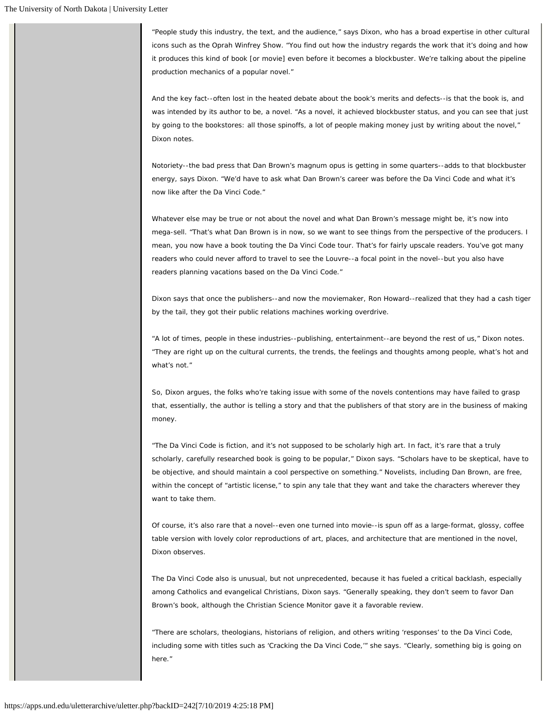"People study this industry, the text, and the audience," says Dixon, who has a broad expertise in other cultural icons such as the Oprah Winfrey Show. "You find out how the industry regards the work that it's doing and how it produces this kind of book [or movie] even before it becomes a blockbuster. We're talking about the pipeline production mechanics of a popular novel."

And the key fact--often lost in the heated debate about the book's merits and defects--is that the book is, and was intended by its author to be, a novel. "As a novel, it achieved blockbuster status, and you can see that just by going to the bookstores: all those spinoffs, a lot of people making money just by writing about the novel," Dixon notes.

Notoriety--the bad press that Dan Brown's magnum opus is getting in some quarters--adds to that blockbuster energy, says Dixon. "We'd have to ask what Dan Brown's career was before the Da Vinci Code and what it's now like after the Da Vinci Code."

Whatever else may be true or not about the novel and what Dan Brown's message might be, it's now into mega-sell. "That's what Dan Brown is in now, so we want to see things from the perspective of the producers. I mean, you now have a book touting the Da Vinci Code tour. That's for fairly upscale readers. You've got many readers who could never afford to travel to see the Louvre--a focal point in the novel--but you also have readers planning vacations based on the Da Vinci Code."

Dixon says that once the publishers--and now the moviemaker, Ron Howard--realized that they had a cash tiger by the tail, they got their public relations machines working overdrive.

"A lot of times, people in these industries--publishing, entertainment--are beyond the rest of us," Dixon notes. "They are right up on the cultural currents, the trends, the feelings and thoughts among people, what's hot and what's not."

So, Dixon argues, the folks who're taking issue with some of the novels contentions may have failed to grasp that, essentially, the author is telling a story and that the publishers of that story are in the business of making money.

"The Da Vinci Code is fiction, and it's not supposed to be scholarly high art. In fact, it's rare that a truly scholarly, carefully researched book is going to be popular," Dixon says. "Scholars have to be skeptical, have to be objective, and should maintain a cool perspective on something." Novelists, including Dan Brown, are free, within the concept of "artistic license," to spin any tale that they want and take the characters wherever they want to take them.

Of course, it's also rare that a novel--even one turned into movie--is spun off as a large-format, glossy, coffee table version with lovely color reproductions of art, places, and architecture that are mentioned in the novel, Dixon observes.

The Da Vinci Code also is unusual, but not unprecedented, because it has fueled a critical backlash, especially among Catholics and evangelical Christians, Dixon says. "Generally speaking, they don't seem to favor Dan Brown's book, although the Christian Science Monitor gave it a favorable review.

"There are scholars, theologians, historians of religion, and others writing 'responses' to the Da Vinci Code, including some with titles such as 'Cracking the Da Vinci Code,'" she says. "Clearly, something big is going on here."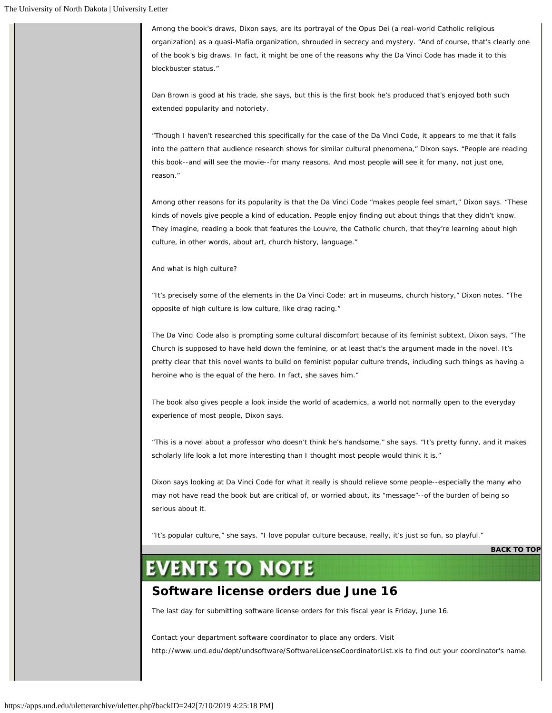Among the book's draws, Dixon says, are its portrayal of the Opus Dei (a real-world Catholic religious organization) as a quasi-Mafia organization, shrouded in secrecy and mystery. "And of course, that's clearly one of the book's big draws. In fact, it might be one of the reasons why the Da Vinci Code has made it to this blockbuster status."

Dan Brown is good at his trade, she says, but this is the first book he's produced that's enjoyed both such extended popularity and notoriety.

"Though I haven't researched this specifically for the case of the Da Vinci Code, it appears to me that it falls into the pattern that audience research shows for similar cultural phenomena," Dixon says. "People are reading this book--and will see the movie--for many reasons. And most people will see it for many, not just one, reason."

Among other reasons for its popularity is that the Da Vinci Code "makes people feel smart," Dixon says. "These kinds of novels give people a kind of education. People enjoy finding out about things that they didn't know. They imagine, reading a book that features the Louvre, the Catholic church, that they're learning about high culture, in other words, about art, church history, language."

And what is high culture?

"It's precisely some of the elements in the Da Vinci Code: art in museums, church history," Dixon notes. "The opposite of high culture is low culture, like drag racing."

The Da Vinci Code also is prompting some cultural discomfort because of its feminist subtext, Dixon says. "The Church is supposed to have held down the feminine, or at least that's the argument made in the novel. It's pretty clear that this novel wants to build on feminist popular culture trends, including such things as having a heroine who is the equal of the hero. In fact, she saves him."

The book also gives people a look inside the world of academics, a world not normally open to the everyday experience of most people, Dixon says.

"This is a novel about a professor who doesn't think he's handsome," she says. "It's pretty funny, and it makes scholarly life look a lot more interesting than I thought most people would think it is."

Dixon says looking at Da Vinci Code for what it really is should relieve some people--especially the many who may not have read the book but are critical of, or worried about, its "message"--of the burden of being so serious about it.

"It's popular culture," she says. "I love popular culture because, really, it's just so fun, so playful."

**[BACK TO TOP](#page-1-0)**

# **EVENTS TO NOTE**

## **Software license orders due June 16**

The last day for submitting software license orders for this fiscal year is Friday, June 16.

Contact your department software coordinator to place any orders. Visit http://www.und.edu/dept/undsoftware/SoftwareLicenseCoordinatorList.xls to find out your coordinator's name.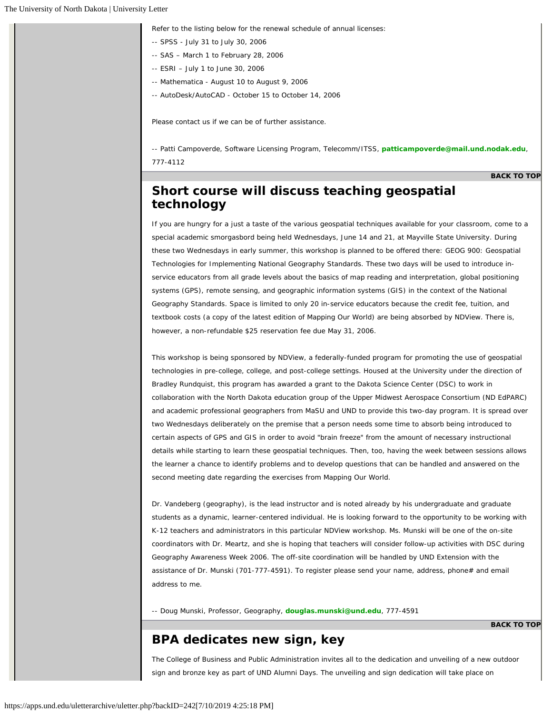Refer to the listing below for the renewal schedule of annual licenses:

- -- SPSS July 31 to July 30, 2006
- -- SAS March 1 to February 28, 2006
- -- ESRI July 1 to June 30, 2006
- -- Mathematica August 10 to August 9, 2006
- -- AutoDesk/AutoCAD October 15 to October 14, 2006

Please contact us if we can be of further assistance.

*-- Patti Campoverde, Software Licensing Program, Telecomm/ITSS, [patticampoverde@mail.und.nodak.edu](mailto:patticampoverde@mail.und.nodak.edu), 777-4112*

**[BACK TO TOP](#page-1-0)**

#### **Short course will discuss teaching geospatial technology**

If you are hungry for a just a taste of the various geospatial techniques available for your classroom, come to a special academic smorgasbord being held Wednesdays, June 14 and 21, at Mayville State University. During these two Wednesdays in early summer, this workshop is planned to be offered there: GEOG 900: Geospatial Technologies for Implementing National Geography Standards. These two days will be used to introduce inservice educators from all grade levels about the basics of map reading and interpretation, global positioning systems (GPS), remote sensing, and geographic information systems (GIS) in the context of the National Geography Standards. Space is limited to only 20 in-service educators because the credit fee, tuition, and textbook costs (a copy of the latest edition of Mapping Our World) are being absorbed by NDView. There is, however, a non-refundable \$25 reservation fee due May 31, 2006.

This workshop is being sponsored by NDView, a federally-funded program for promoting the use of geospatial technologies in pre-college, college, and post-college settings. Housed at the University under the direction of Bradley Rundquist, this program has awarded a grant to the Dakota Science Center (DSC) to work in collaboration with the North Dakota education group of the Upper Midwest Aerospace Consortium (ND EdPARC) and academic professional geographers from MaSU and UND to provide this two-day program. It is spread over two Wednesdays deliberately on the premise that a person needs some time to absorb being introduced to certain aspects of GPS and GIS in order to avoid "brain freeze" from the amount of necessary instructional details while starting to learn these geospatial techniques. Then, too, having the week between sessions allows the learner a chance to identify problems and to develop questions that can be handled and answered on the second meeting date regarding the exercises from Mapping Our World.

Dr. Vandeberg (geography), is the lead instructor and is noted already by his undergraduate and graduate students as a dynamic, learner-centered individual. He is looking forward to the opportunity to be working with K-12 teachers and administrators in this particular NDView workshop. Ms. Munski will be one of the on-site coordinators with Dr. Meartz, and she is hoping that teachers will consider follow-up activities with DSC during Geography Awareness Week 2006. The off-site coordination will be handled by UND Extension with the assistance of Dr. Munski (701-777-4591). To register please send your name, address, phone# and email address to me.

*-- Doug Munski, Professor, Geography, [douglas.munski@und.edu](mailto:douglas.munski@und.edu), 777-4591*

#### **BPA dedicates new sign, key**

**[BACK TO TOP](#page-1-0)**

The College of Business and Public Administration invites all to the dedication and unveiling of a new outdoor sign and bronze key as part of UND Alumni Days. The unveiling and sign dedication will take place on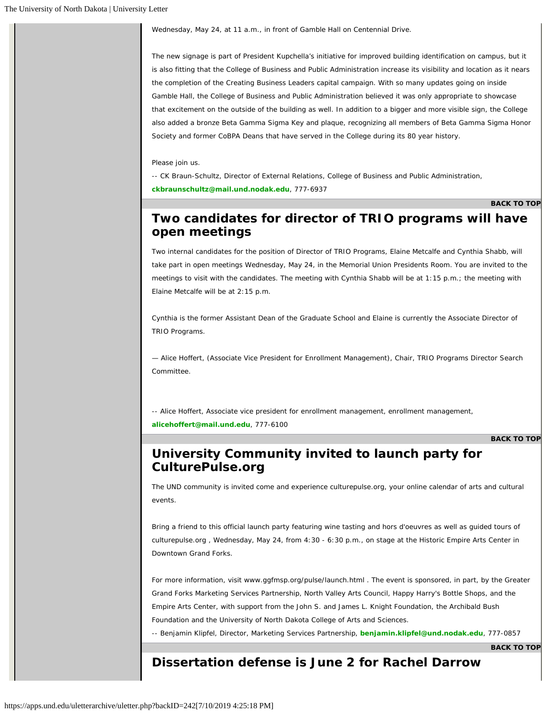Wednesday, May 24, at 11 a.m., in front of Gamble Hall on Centennial Drive.

The new signage is part of President Kupchella's initiative for improved building identification on campus, but it is also fitting that the College of Business and Public Administration increase its visibility and location as it nears the completion of the Creating Business Leaders capital campaign. With so many updates going on inside Gamble Hall, the College of Business and Public Administration believed it was only appropriate to showcase that excitement on the outside of the building as well. In addition to a bigger and more visible sign, the College also added a bronze Beta Gamma Sigma Key and plaque, recognizing all members of Beta Gamma Sigma Honor Society and former CoBPA Deans that have served in the College during its 80 year history.

#### Please join us.

*-- CK Braun-Schultz, Director of External Relations, College of Business and Public Administration, [ckbraunschultz@mail.und.nodak.edu](mailto:ckbraunschultz@mail.und.nodak.edu), 777-6937*

**[BACK TO TOP](#page-1-0)**

#### **Two candidates for director of TRIO programs will have open meetings**

Two internal candidates for the position of Director of TRIO Programs, Elaine Metcalfe and Cynthia Shabb, will take part in open meetings Wednesday, May 24, in the Memorial Union Presidents Room. You are invited to the meetings to visit with the candidates. The meeting with Cynthia Shabb will be at 1:15 p.m.; the meeting with Elaine Metcalfe will be at 2:15 p.m.

Cynthia is the former Assistant Dean of the Graduate School and Elaine is currently the Associate Director of TRIO Programs.

— Alice Hoffert, (Associate Vice President for Enrollment Management), Chair, TRIO Programs Director Search Committee.

*-- Alice Hoffert, Associate vice president for enrollment management, enrollment management, [alicehoffert@mail.und.edu](mailto:alicehoffert@mail.und.edu), 777-6100*

**[BACK TO TOP](#page-1-0)**

#### **University Community invited to launch party for CulturePulse.org**

The UND community is invited come and experience culturepulse.org, your online calendar of arts and cultural events.

Bring a friend to this official launch party featuring wine tasting and hors d'oeuvres as well as guided tours of culturepulse.org , Wednesday, May 24, from 4:30 - 6:30 p.m., on stage at the Historic Empire Arts Center in Downtown Grand Forks.

For more information, visit www.ggfmsp.org/pulse/launch.html . The event is sponsored, in part, by the Greater Grand Forks Marketing Services Partnership, North Valley Arts Council, Happy Harry's Bottle Shops, and the Empire Arts Center, with support from the John S. and James L. Knight Foundation, the Archibald Bush Foundation and the University of North Dakota College of Arts and Sciences.

*-- Benjamin Klipfel, Director, Marketing Services Partnership, [benjamin.klipfel@und.nodak.edu](mailto:benjamin.klipfel@und.nodak.edu), 777-0857*

**[BACK TO TOP](#page-1-0)**

#### **Dissertation defense is June 2 for Rachel Darrow**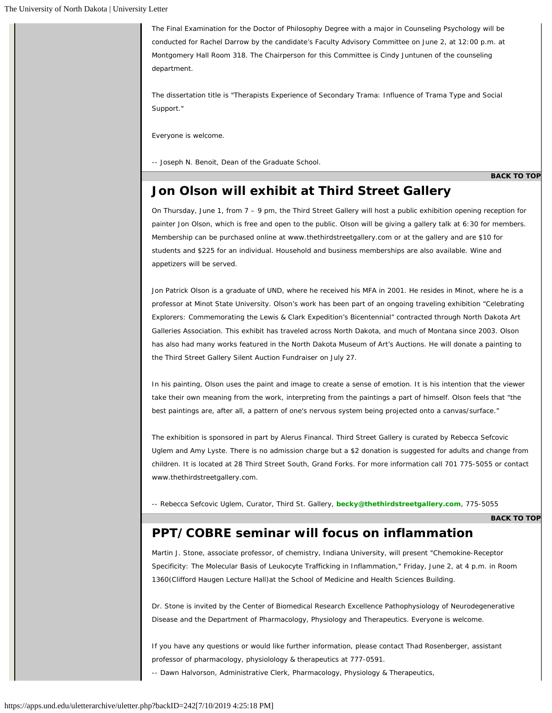The Final Examination for the Doctor of Philosophy Degree with a major in Counseling Psychology will be conducted for Rachel Darrow by the candidate's Faculty Advisory Committee on June 2, at 12:00 p.m. at Montgomery Hall Room 318. The Chairperson for this Committee is Cindy Juntunen of the counseling department.

The dissertation title is "Therapists Experience of Secondary Trama: Influence of Trama Type and Social Support."

Everyone is welcome.

-- Joseph N. Benoit, Dean of the Graduate School.

**[BACK TO TOP](#page-1-0)**

#### **Jon Olson will exhibit at Third Street Gallery**

On Thursday, June 1, from 7 – 9 pm, the Third Street Gallery will host a public exhibition opening reception for painter Jon Olson, which is free and open to the public. Olson will be giving a gallery talk at 6:30 for members. Membership can be purchased online at www.thethirdstreetgallery.com or at the gallery and are \$10 for students and \$225 for an individual. Household and business memberships are also available. Wine and appetizers will be served.

Jon Patrick Olson is a graduate of UND, where he received his MFA in 2001. He resides in Minot, where he is a professor at Minot State University. Olson's work has been part of an ongoing traveling exhibition "Celebrating Explorers: Commemorating the Lewis & Clark Expedition's Bicentennial" contracted through North Dakota Art Galleries Association. This exhibit has traveled across North Dakota, and much of Montana since 2003. Olson has also had many works featured in the North Dakota Museum of Art's Auctions. He will donate a painting to the Third Street Gallery Silent Auction Fundraiser on July 27.

In his painting, Olson uses the paint and image to create a sense of emotion. It is his intention that the viewer take their own meaning from the work, interpreting from the paintings a part of himself. Olson feels that "the best paintings are, after all, a pattern of one's nervous system being projected onto a canvas/surface."

The exhibition is sponsored in part by Alerus Financal. Third Street Gallery is curated by Rebecca Sefcovic Uglem and Amy Lyste. There is no admission charge but a \$2 donation is suggested for adults and change from children. It is located at 28 Third Street South, Grand Forks. For more information call 701 775-5055 or contact www.thethirdstreetgallery.com.

*-- Rebecca Sefcovic Uglem, Curator, Third St. Gallery, [becky@thethirdstreetgallery.com](mailto:becky@thethirdstreetgallery.com), 775-5055*

**[BACK TO TOP](#page-1-0)**

#### **PPT/COBRE seminar will focus on inflammation**

Martin J. Stone, associate professor, of chemistry, Indiana University, will present "Chemokine-Receptor Specificity: The Molecular Basis of Leukocyte Trafficking in Inflammation," Friday, June 2, at 4 p.m. in Room 1360(Clifford Haugen Lecture Hall)at the School of Medicine and Health Sciences Building.

Dr. Stone is invited by the Center of Biomedical Research Excellence Pathophysiology of Neurodegenerative Disease and the Department of Pharmacology, Physiology and Therapeutics. Everyone is welcome.

If you have any questions or would like further information, please contact Thad Rosenberger, assistant professor of pharmacology, physiolology & therapeutics at 777-0591.

*-- Dawn Halvorson, Administrative Clerk, Pharmacology, Physiology & Therapeutics,*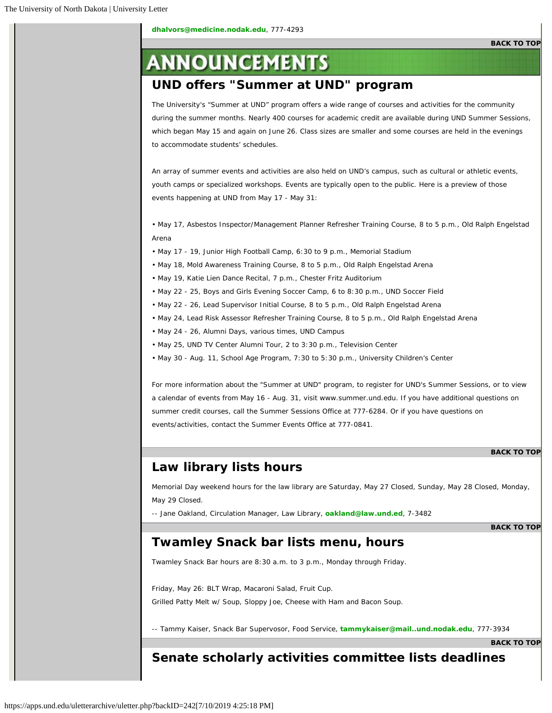# **ANNOUNCEMENTS**

## **UND offers "Summer at UND" program**

The University's "Summer at UND" program offers a wide range of courses and activities for the community during the summer months. Nearly 400 courses for academic credit are available during UND Summer Sessions, which began May 15 and again on June 26. Class sizes are smaller and some courses are held in the evenings to accommodate students' schedules.

An array of summer events and activities are also held on UND's campus, such as cultural or athletic events, youth camps or specialized workshops. Events are typically open to the public. Here is a preview of those events happening at UND from May 17 - May 31:

• May 17, Asbestos Inspector/Management Planner Refresher Training Course, 8 to 5 p.m., Old Ralph Engelstad Arena

- May 17 19, Junior High Football Camp, 6:30 to 9 p.m., Memorial Stadium
- May 18, Mold Awareness Training Course, 8 to 5 p.m., Old Ralph Engelstad Arena
- May 19, Katie Lien Dance Recital, 7 p.m., Chester Fritz Auditorium
- May 22 25, Boys and Girls Evening Soccer Camp, 6 to 8:30 p.m., UND Soccer Field
- May 22 26, Lead Supervisor Initial Course, 8 to 5 p.m., Old Ralph Engelstad Arena
- May 24, Lead Risk Assessor Refresher Training Course, 8 to 5 p.m., Old Ralph Engelstad Arena
- May 24 26, Alumni Days, various times, UND Campus
- May 25, UND TV Center Alumni Tour, 2 to 3:30 p.m., Television Center
- May 30 Aug. 11, School Age Program, 7:30 to 5:30 p.m., University Children's Center

For more information about the "Summer at UND" program, to register for UND's Summer Sessions, or to view a calendar of events from May 16 - Aug. 31, visit www.summer.und.edu. If you have additional questions on summer credit courses, call the Summer Sessions Office at 777-6284. Or if you have questions on events/activities, contact the Summer Events Office at 777-0841.

#### **[BACK TO TOP](#page-1-0)**

#### **Law library lists hours**

Memorial Day weekend hours for the law library are Saturday, May 27 Closed, Sunday, May 28 Closed, Monday, May 29 Closed.

*-- Jane Oakland, Circulation Manager, Law Library, [oakland@law.und.ed](mailto:oakland@law.und.ed), 7-3482*

#### **[BACK TO TOP](#page-1-0)**

#### **Twamley Snack bar lists menu, hours**

Twamley Snack Bar hours are 8:30 a.m. to 3 p.m., Monday through Friday.

Friday, May 26: BLT Wrap, Macaroni Salad, Fruit Cup. Grilled Patty Melt w/ Soup, Sloppy Joe, Cheese with Ham and Bacon Soup.

*-- Tammy Kaiser, Snack Bar Supervosor, Food Service, [tammykaiser@mail..und.nodak.edu](mailto:tammykaiser@mail..und.nodak.edu), 777-3934*

**[BACK TO TOP](#page-1-0)**

#### **Senate scholarly activities committee lists deadlines**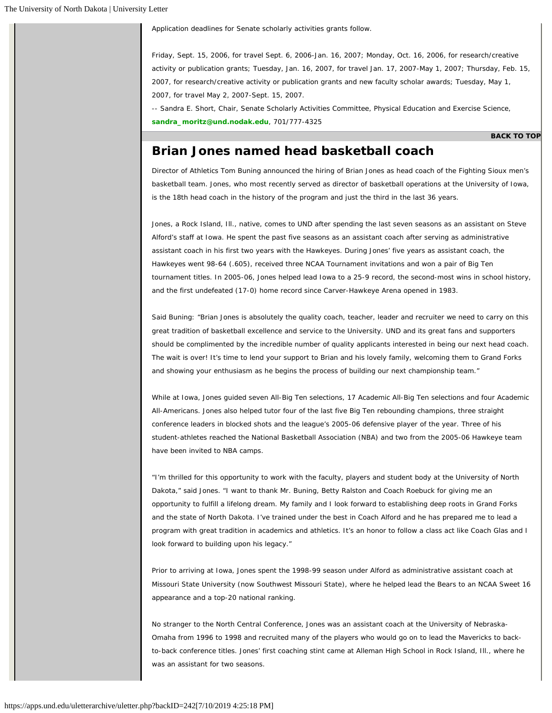Application deadlines for Senate scholarly activities grants follow.

Friday, Sept. 15, 2006, for travel Sept. 6, 2006-Jan. 16, 2007; Monday, Oct. 16, 2006, for research/creative activity or publication grants; Tuesday, Jan. 16, 2007, for travel Jan. 17, 2007-May 1, 2007; Thursday, Feb. 15, 2007, for research/creative activity or publication grants and new faculty scholar awards; Tuesday, May 1, 2007, for travel May 2, 2007-Sept. 15, 2007.

*-- Sandra E. Short, Chair, Senate Scholarly Activities Committee, Physical Education and Exercise Science, [sandra\\_moritz@und.nodak.edu](mailto:sandra_moritz@und.nodak.edu), 701/777-4325*

#### **[BACK TO TOP](#page-1-0)**

#### **Brian Jones named head basketball coach**

Director of Athletics Tom Buning announced the hiring of Brian Jones as head coach of the Fighting Sioux men's basketball team. Jones, who most recently served as director of basketball operations at the University of Iowa, is the 18th head coach in the history of the program and just the third in the last 36 years.

Jones, a Rock Island, Ill., native, comes to UND after spending the last seven seasons as an assistant on Steve Alford's staff at Iowa. He spent the past five seasons as an assistant coach after serving as administrative assistant coach in his first two years with the Hawkeyes. During Jones' five years as assistant coach, the Hawkeyes went 98-64 (.605), received three NCAA Tournament invitations and won a pair of Big Ten tournament titles. In 2005-06, Jones helped lead Iowa to a 25-9 record, the second-most wins in school history, and the first undefeated (17-0) home record since Carver-Hawkeye Arena opened in 1983.

Said Buning: "Brian Jones is absolutely the quality coach, teacher, leader and recruiter we need to carry on this great tradition of basketball excellence and service to the University. UND and its great fans and supporters should be complimented by the incredible number of quality applicants interested in being our next head coach. The wait is over! It's time to lend your support to Brian and his lovely family, welcoming them to Grand Forks and showing your enthusiasm as he begins the process of building our next championship team."

While at Iowa, Jones guided seven All-Big Ten selections, 17 Academic All-Big Ten selections and four Academic All-Americans. Jones also helped tutor four of the last five Big Ten rebounding champions, three straight conference leaders in blocked shots and the league's 2005-06 defensive player of the year. Three of his student-athletes reached the National Basketball Association (NBA) and two from the 2005-06 Hawkeye team have been invited to NBA camps.

"I'm thrilled for this opportunity to work with the faculty, players and student body at the University of North Dakota," said Jones. "I want to thank Mr. Buning, Betty Ralston and Coach Roebuck for giving me an opportunity to fulfill a lifelong dream. My family and I look forward to establishing deep roots in Grand Forks and the state of North Dakota. I've trained under the best in Coach Alford and he has prepared me to lead a program with great tradition in academics and athletics. It's an honor to follow a class act like Coach Glas and I look forward to building upon his legacy."

Prior to arriving at Iowa, Jones spent the 1998-99 season under Alford as administrative assistant coach at Missouri State University (now Southwest Missouri State), where he helped lead the Bears to an NCAA Sweet 16 appearance and a top-20 national ranking.

No stranger to the North Central Conference, Jones was an assistant coach at the University of Nebraska-Omaha from 1996 to 1998 and recruited many of the players who would go on to lead the Mavericks to backto-back conference titles. Jones' first coaching stint came at Alleman High School in Rock Island, Ill., where he was an assistant for two seasons.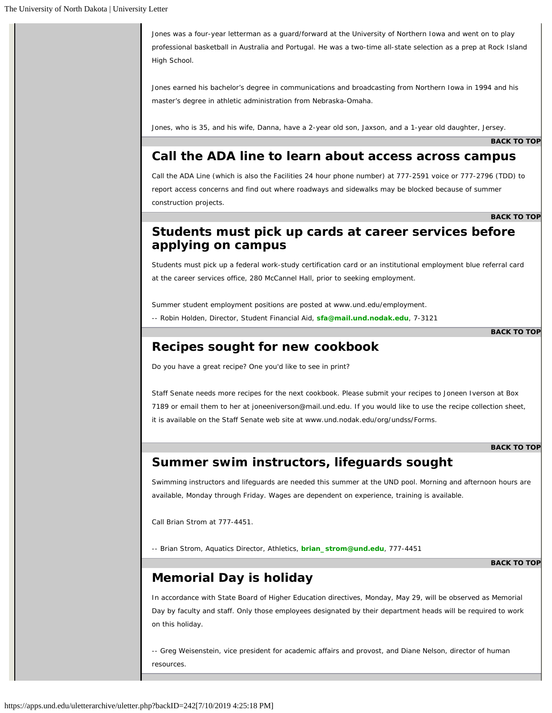Jones was a four-year letterman as a guard/forward at the University of Northern Iowa and went on to play professional basketball in Australia and Portugal. He was a two-time all-state selection as a prep at Rock Island High School.

Jones earned his bachelor's degree in communications and broadcasting from Northern Iowa in 1994 and his master's degree in athletic administration from Nebraska-Omaha.

Jones, who is 35, and his wife, Danna, have a 2-year old son, Jaxson, and a 1-year old daughter, Jersey.

**[BACK TO TOP](#page-1-0)**

#### **Call the ADA line to learn about access across campus**

Call the ADA Line (which is also the Facilities 24 hour phone number) at 777-2591 voice or 777-2796 (TDD) to report access concerns and find out where roadways and sidewalks may be blocked because of summer construction projects.

**[BACK TO TOP](#page-1-0)**

### **Students must pick up cards at career services before applying on campus**

Students must pick up a federal work-study certification card or an institutional employment blue referral card at the career services office, 280 McCannel Hall, prior to seeking employment.

Summer student employment positions are posted at www.und.edu/employment.

*-- Robin Holden, Director, Student Financial Aid, [sfa@mail.und.nodak.edu](mailto:sfa@mail.und.nodak.edu), 7-3121*

**[BACK TO TOP](#page-1-0)**

#### **Recipes sought for new cookbook**

Do you have a great recipe? One you'd like to see in print?

Staff Senate needs more recipes for the next cookbook. Please submit your recipes to Joneen Iverson at Box 7189 or email them to her at joneeniverson@mail.und.edu. If you would like to use the recipe collection sheet, it is available on the Staff Senate web site at www.und.nodak.edu/org/undss/Forms.

**[BACK TO TOP](#page-1-0)**

#### **Summer swim instructors, lifeguards sought**

Swimming instructors and lifeguards are needed this summer at the UND pool. Morning and afternoon hours are available, Monday through Friday. Wages are dependent on experience, training is available.

Call Brian Strom at 777-4451.

*-- Brian Strom, Aquatics Director, Athletics, [brian\\_strom@und.edu](mailto:brian_strom@und.edu), 777-4451*

**[BACK TO TOP](#page-1-0)**

## **Memorial Day is holiday**

In accordance with State Board of Higher Education directives, Monday, May 29, will be observed as Memorial Day by faculty and staff. Only those employees designated by their department heads will be required to work on this holiday.

-- Greg Weisenstein, vice president for academic affairs and provost, and Diane Nelson, director of human resources.